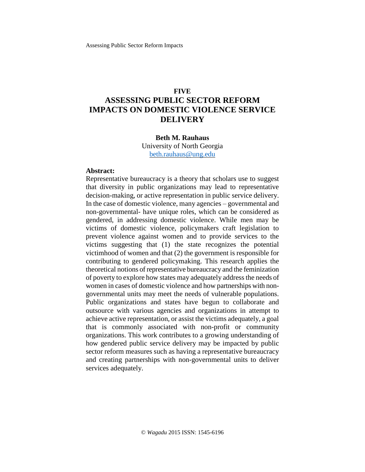## **FIVE**

# **ASSESSING PUBLIC SECTOR REFORM IMPACTS ON DOMESTIC VIOLENCE SERVICE DELIVERY**

#### **Beth M. Rauhaus**

University of North Georgia [beth.rauhaus@ung.edu](mailto:beth.rauhaus@ung.edu)

#### **Abstract:**

Representative bureaucracy is a theory that scholars use to suggest that diversity in public organizations may lead to representative decision-making, or active representation in public service delivery. In the case of domestic violence, many agencies – governmental and non-governmental- have unique roles, which can be considered as gendered, in addressing domestic violence. While men may be victims of domestic violence, policymakers craft legislation to prevent violence against women and to provide services to the victims suggesting that (1) the state recognizes the potential victimhood of women and that (2) the government is responsible for contributing to gendered policymaking. This research applies the theoretical notions of representative bureaucracy and the feminization of poverty to explore how states may adequately address the needs of women in cases of domestic violence and how partnerships with nongovernmental units may meet the needs of vulnerable populations. Public organizations and states have begun to collaborate and outsource with various agencies and organizations in attempt to achieve active representation, or assist the victims adequately, a goal that is commonly associated with non-profit or community organizations. This work contributes to a growing understanding of how gendered public service delivery may be impacted by public sector reform measures such as having a representative bureaucracy and creating partnerships with non-governmental units to deliver services adequately.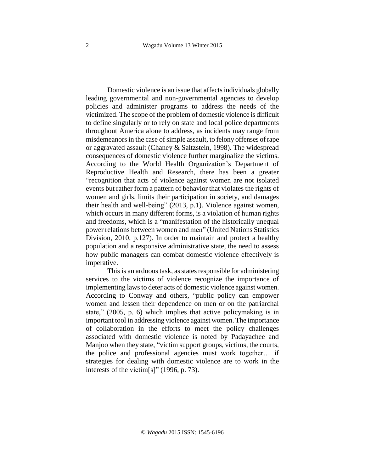Domestic violence is an issue that affects individuals globally leading governmental and non-governmental agencies to develop policies and administer programs to address the needs of the victimized. The scope of the problem of domestic violence is difficult to define singularly or to rely on state and local police departments throughout America alone to address, as incidents may range from misdemeanors in the case of simple assault, to felony offenses of rape or aggravated assault (Chaney & Saltzstein, 1998). The widespread consequences of domestic violence further marginalize the victims. According to the World Health Organization's Department of Reproductive Health and Research, there has been a greater "recognition that acts of violence against women are not isolated events but rather form a pattern of behavior that violates the rights of women and girls, limits their participation in society, and damages their health and well-being" (2013, p.1). Violence against women, which occurs in many different forms, is a violation of human rights and freedoms, which is a "manifestation of the historically unequal power relations between women and men" (United Nations Statistics Division, 2010, p.127). In order to maintain and protect a healthy population and a responsive administrative state, the need to assess how public managers can combat domestic violence effectively is imperative.

This is an arduous task, as states responsible for administering services to the victims of violence recognize the importance of implementing laws to deter acts of domestic violence against women. According to Conway and others, "public policy can empower women and lessen their dependence on men or on the patriarchal state," (2005, p. 6) which implies that active policymaking is in important tool in addressing violence against women. The importance of collaboration in the efforts to meet the policy challenges associated with domestic violence is noted by Padayachee and Manjoo when they state, "victim support groups, victims, the courts, the police and professional agencies must work together… if strategies for dealing with domestic violence are to work in the interests of the victim[s]" (1996, p. 73).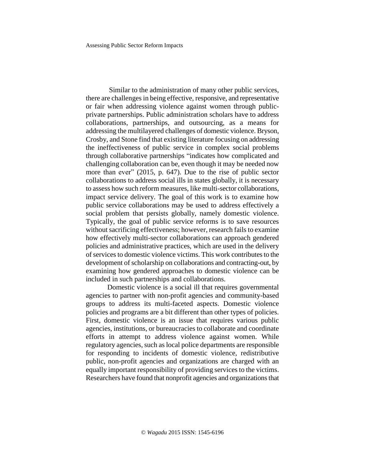Similar to the administration of many other public services, there are challenges in being effective, responsive, and representative or fair when addressing violence against women through publicprivate partnerships. Public administration scholars have to address collaborations, partnerships, and outsourcing, as a means for addressing the multilayered challenges of domestic violence. Bryson, Crosby, and Stone find that existing literature focusing on addressing the ineffectiveness of public service in complex social problems through collaborative partnerships "indicates how complicated and challenging collaboration can be, even though it may be needed now more than ever" (2015, p. 647). Due to the rise of public sector collaborations to address social ills in states globally, it is necessary to assess how such reform measures, like multi-sector collaborations, impact service delivery. The goal of this work is to examine how public service collaborations may be used to address effectively a social problem that persists globally, namely domestic violence. Typically, the goal of public service reforms is to save resources without sacrificing effectiveness; however, research fails to examine how effectively multi-sector collaborations can approach gendered policies and administrative practices, which are used in the delivery of services to domestic violence victims. This work contributes to the development of scholarship on collaborations and contracting-out, by examining how gendered approaches to domestic violence can be included in such partnerships and collaborations.

Domestic violence is a social ill that requires governmental agencies to partner with non-profit agencies and community-based groups to address its multi-faceted aspects. Domestic violence policies and programs are a bit different than other types of policies. First, domestic violence is an issue that requires various public agencies, institutions, or bureaucracies to collaborate and coordinate efforts in attempt to address violence against women. While regulatory agencies, such as local police departments are responsible for responding to incidents of domestic violence, redistributive public, non-profit agencies and organizations are charged with an equally important responsibility of providing services to the victims. Researchers have found that nonprofit agencies and organizations that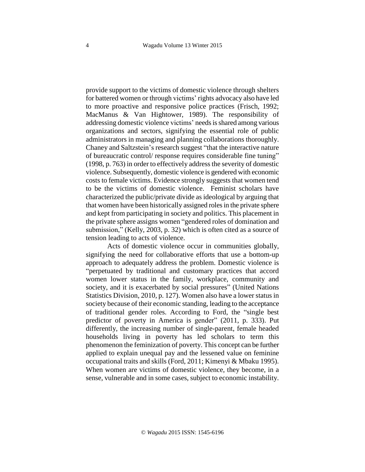provide support to the victims of domestic violence through shelters for battered women or through victims' rights advocacy also have led to more proactive and responsive police practices (Frisch, 1992; MacManus & Van Hightower, 1989). The responsibility of addressing domestic violence victims' needsisshared among various organizations and sectors, signifying the essential role of public administrators in managing and planning collaborations thoroughly. Chaney and Saltzstein's research suggest "that the interactive nature of bureaucratic control/ response requires considerable fine tuning" (1998, p. 763) in order to effectively addressthe severity of domestic violence. Subsequently, domestic violence is gendered with economic costs to female victims. Evidence strongly suggests that women tend to be the victims of domestic violence. Feminist scholars have characterized the public/private divide as ideological by arguing that that women have been historically assigned rolesin the private sphere and kept from participating in society and politics. This placement in the private sphere assigns women "gendered roles of domination and submission," (Kelly, 2003, p. 32) which is often cited as a source of tension leading to acts of violence.

Acts of domestic violence occur in communities globally, signifying the need for collaborative efforts that use a bottom-up approach to adequately address the problem. Domestic violence is "perpetuated by traditional and customary practices that accord women lower status in the family, workplace, community and society, and it is exacerbated by social pressures" (United Nations Statistics Division, 2010, p. 127). Women also have a lower status in society because of their economic standing, leading to the acceptance of traditional gender roles. According to Ford, the "single best predictor of poverty in America is gender" (2011, p. 333). Put differently, the increasing number of single-parent, female headed households living in poverty has led scholars to term this phenomenon the feminization of poverty. This concept can be further applied to explain unequal pay and the lessened value on feminine occupational traits and skills (Ford, 2011; Kimenyi & Mbaku 1995). When women are victims of domestic violence, they become, in a sense, vulnerable and in some cases, subject to economic instability.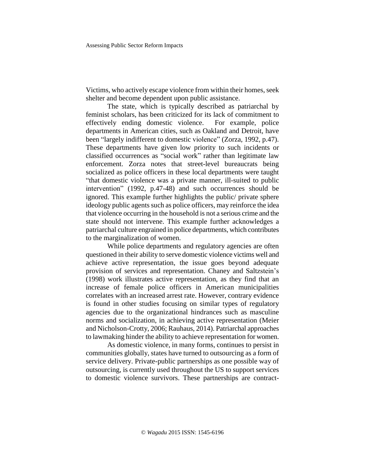Victims, who actively escape violence from within their homes, seek shelter and become dependent upon public assistance.

The state, which is typically described as patriarchal by feminist scholars, has been criticized for its lack of commitment to effectively ending domestic violence. For example, police departments in American cities, such as Oakland and Detroit, have been "largely indifferent to domestic violence" (Zorza, 1992, p.47). These departments have given low priority to such incidents or classified occurrences as "social work" rather than legitimate law enforcement. Zorza notes that street-level bureaucrats being socialized as police officers in these local departments were taught "that domestic violence was a private manner, ill-suited to public intervention" (1992, p.47-48) and such occurrences should be ignored. This example further highlights the public/ private sphere ideology public agents such as police officers, may reinforce the idea that violence occurring in the household is not a serious crime and the state should not intervene. This example further acknowledges a patriarchal culture engrained in police departments, which contributes to the marginalization of women.

While police departments and regulatory agencies are often questioned in their ability to serve domestic violence victims well and achieve active representation, the issue goes beyond adequate provision of services and representation. Chaney and Saltzstein's (1998) work illustrates active representation, as they find that an increase of female police officers in American municipalities correlates with an increased arrest rate. However, contrary evidence is found in other studies focusing on similar types of regulatory agencies due to the organizational hindrances such as masculine norms and socialization, in achieving active representation (Meier and Nicholson-Crotty, 2006; Rauhaus, 2014). Patriarchal approaches to lawmaking hinder the ability to achieve representation for women.

As domestic violence, in many forms, continues to persist in communities globally, states have turned to outsourcing as a form of service delivery. Private-public partnerships as one possible way of outsourcing, is currently used throughout the US to support services to domestic violence survivors. These partnerships are contract-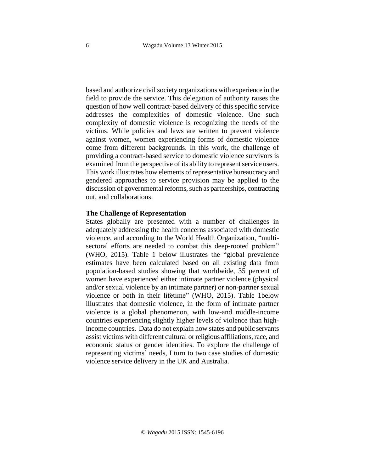based and authorize civil society organizations with experience in the field to provide the service. This delegation of authority raises the question of how well contract-based delivery of this specific service addresses the complexities of domestic violence. One such complexity of domestic violence is recognizing the needs of the victims. While policies and laws are written to prevent violence against women, women experiencing forms of domestic violence come from different backgrounds. In this work, the challenge of providing a contract-based service to domestic violence survivors is examined from the perspective of its ability to represent service users. This work illustrates how elements of representative bureaucracy and gendered approaches to service provision may be applied to the discussion of governmental reforms, such as partnerships, contracting out, and collaborations.

#### **The Challenge of Representation**

States globally are presented with a number of challenges in adequately addressing the health concerns associated with domestic violence, and according to the World Health Organization, "multisectoral efforts are needed to combat this deep-rooted problem" (WHO, 2015). Table 1 below illustrates the "global prevalence estimates have been calculated based on all existing data from population-based studies showing that worldwide, 35 percent of women have experienced either intimate partner violence (physical and/or sexual violence by an intimate partner) or non-partner sexual violence or both in their lifetime" (WHO, 2015). Table 1below illustrates that domestic violence, in the form of intimate partner violence is a global phenomenon, with low-and middle-income countries experiencing slightly higher levels of violence than highincome countries. Data do not explain how states and public servants assist victims with different cultural or religious affiliations, race, and economic status or gender identities. To explore the challenge of representing victims' needs, I turn to two case studies of domestic violence service delivery in the UK and Australia.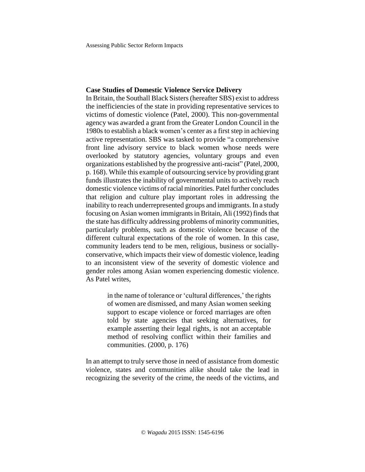## **Case Studies of Domestic Violence Service Delivery**

In Britain, the Southall Black Sisters(hereafter SBS) exist to address the inefficiencies of the state in providing representative services to victims of domestic violence (Patel, 2000). This non-governmental agency was awarded a grant from the Greater London Council in the 1980s to establish a black women's center as a first step in achieving active representation. SBS was tasked to provide "a comprehensive front line advisory service to black women whose needs were overlooked by statutory agencies, voluntary groups and even organizations established by the progressive anti-racist" (Patel, 2000, p. 168). While this example of outsourcing service by providing grant funds illustrates the inability of governmental units to actively reach domestic violence victims of racial minorities. Patel further concludes that religion and culture play important roles in addressing the inability to reach underrepresented groups and immigrants. In a study focusing on Asian women immigrants in Britain, Ali (1992) finds that the state has difficulty addressing problems of minority communities, particularly problems, such as domestic violence because of the different cultural expectations of the role of women. In this case, community leaders tend to be men, religious, business or sociallyconservative, which impacts their view of domestic violence, leading to an inconsistent view of the severity of domestic violence and gender roles among Asian women experiencing domestic violence. As Patel writes,

> in the name of tolerance or 'cultural differences,' the rights of women are dismissed, and many Asian women seeking support to escape violence or forced marriages are often told by state agencies that seeking alternatives, for example asserting their legal rights, is not an acceptable method of resolving conflict within their families and communities. (2000, p. 176)

In an attempt to truly serve those in need of assistance from domestic violence, states and communities alike should take the lead in recognizing the severity of the crime, the needs of the victims, and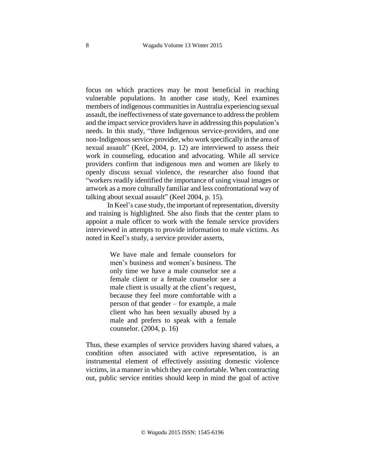focus on which practices may be most beneficial in reaching vulnerable populations. In another case study, Keel examines members of indigenous communities in Australia experiencing sexual assault, the ineffectiveness of state governance to address the problem and the impact service providers have in addressing this population's needs. In this study, "three Indigenous service-providers, and one non-Indigenous service-provider, who work specifically in the area of sexual assault" (Keel, 2004, p. 12) are interviewed to assess their work in counseling, education and advocating. While all service providers confirm that indigenous men and women are likely to openly discuss sexual violence, the researcher also found that "workers readily identified the importance of using visual images or artwork as a more culturally familiar and less confrontational way of talking about sexual assault" (Keel 2004, p. 15).

In Keel's case study, the important of representation, diversity and training is highlighted. She also finds that the center plans to appoint a male officer to work with the female service providers interviewed in attempts to provide information to male victims. As noted in Keel's study, a service provider asserts,

> We have male and female counselors for men's business and women's business. The only time we have a male counselor see a female client or a female counselor see a male client is usually at the client's request, because they feel more comfortable with a person of that gender – for example, a male client who has been sexually abused by a male and prefers to speak with a female counselor. (2004, p. 16)

Thus, these examples of service providers having shared values, a condition often associated with active representation, is an instrumental element of effectively assisting domestic violence victims, in a manner in which they are comfortable. When contracting out, public service entities should keep in mind the goal of active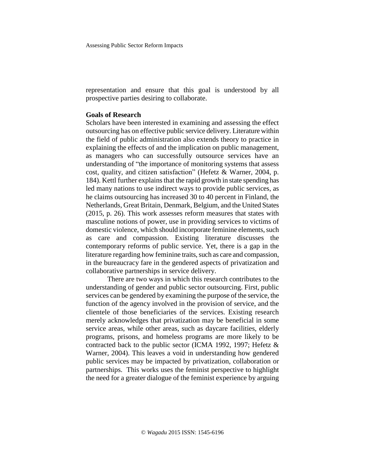Assessing Public Sector Reform Impacts

representation and ensure that this goal is understood by all prospective parties desiring to collaborate.

## **Goals of Research**

Scholars have been interested in examining and assessing the effect outsourcing has on effective public service delivery. Literature within the field of public administration also extends theory to practice in explaining the effects of and the implication on public management, as managers who can successfully outsource services have an understanding of "the importance of monitoring systems that assess cost, quality, and citizen satisfaction" (Hefetz & Warner, 2004, p. 184). Kettl further explains that the rapid growth in state spending has led many nations to use indirect ways to provide public services, as he claims outsourcing has increased 30 to 40 percent in Finland, the Netherlands, Great Britain, Denmark, Belgium, and the United States (2015, p. 26). This work assesses reform measures that states with masculine notions of power, use in providing services to victims of domestic violence, which should incorporate feminine elements, such as care and compassion. Existing literature discusses the contemporary reforms of public service. Yet, there is a gap in the literature regarding how feminine traits, such as care and compassion, in the bureaucracy fare in the gendered aspects of privatization and collaborative partnerships in service delivery.

There are two ways in which this research contributes to the understanding of gender and public sector outsourcing. First, public services can be gendered by examining the purpose of the service, the function of the agency involved in the provision of service, and the clientele of those beneficiaries of the services. Existing research merely acknowledges that privatization may be beneficial in some service areas, while other areas, such as daycare facilities, elderly programs, prisons, and homeless programs are more likely to be contracted back to the public sector (ICMA 1992, 1997; Hefetz & Warner, 2004). This leaves a void in understanding how gendered public services may be impacted by privatization, collaboration or partnerships. This works uses the feminist perspective to highlight the need for a greater dialogue of the feminist experience by arguing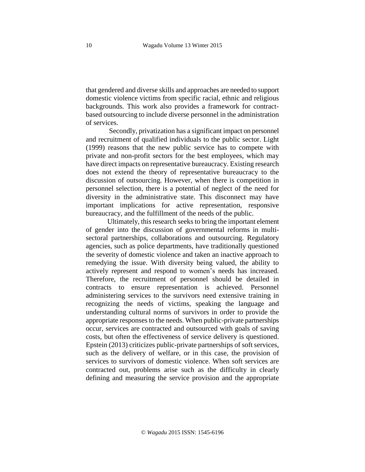that gendered and diverse skills and approaches are needed to support domestic violence victims from specific racial, ethnic and religious backgrounds. This work also provides a framework for contractbased outsourcing to include diverse personnel in the administration of services.

Secondly, privatization has a significant impact on personnel and recruitment of qualified individuals to the public sector. Light (1999) reasons that the new public service has to compete with private and non-profit sectors for the best employees, which may have direct impacts on representative bureaucracy. Existing research does not extend the theory of representative bureaucracy to the discussion of outsourcing. However, when there is competition in personnel selection, there is a potential of neglect of the need for diversity in the administrative state. This disconnect may have important implications for active representation, responsive bureaucracy, and the fulfillment of the needs of the public.

Ultimately, this research seeks to bring the important element of gender into the discussion of governmental reforms in multisectoral partnerships, collaborations and outsourcing. Regulatory agencies, such as police departments, have traditionally questioned the severity of domestic violence and taken an inactive approach to remedying the issue. With diversity being valued, the ability to actively represent and respond to women's needs has increased. Therefore, the recruitment of personnel should be detailed in contracts to ensure representation is achieved. Personnel administering services to the survivors need extensive training in recognizing the needs of victims, speaking the language and understanding cultural norms of survivors in order to provide the appropriate responses to the needs. When public-private partnerships occur, services are contracted and outsourced with goals of saving costs, but often the effectiveness of service delivery is questioned. Epstein (2013) criticizes public-private partnerships of soft services, such as the delivery of welfare, or in this case, the provision of services to survivors of domestic violence. When soft services are contracted out, problems arise such as the difficulty in clearly defining and measuring the service provision and the appropriate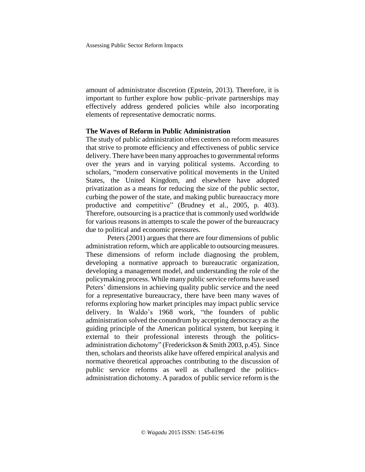amount of administrator discretion (Epstein, 2013). Therefore, it is important to further explore how public–private partnerships may effectively address gendered policies while also incorporating elements of representative democratic norms.

## **The Waves of Reform in Public Administration**

The study of public administration often centers on reform measures that strive to promote efficiency and effectiveness of public service delivery. There have been many approaches to governmental reforms over the years and in varying political systems. According to scholars, "modern conservative political movements in the United States, the United Kingdom, and elsewhere have adopted privatization as a means for reducing the size of the public sector, curbing the power of the state, and making public bureaucracy more productive and competitive" (Brudney et al., 2005, p. 403). Therefore, outsourcing is a practice that is commonly used worldwide for various reasons in attempts to scale the power of the bureaucracy due to political and economic pressures.

Peters (2001) argues that there are four dimensions of public administration reform, which are applicable to outsourcing measures. These dimensions of reform include diagnosing the problem, developing a normative approach to bureaucratic organization, developing a management model, and understanding the role of the policymaking process. While many public service reforms have used Peters' dimensions in achieving quality public service and the need for a representative bureaucracy, there have been many waves of reforms exploring how market principles may impact public service delivery. In Waldo's 1968 work, "the founders of public administration solved the conundrum by accepting democracy as the guiding principle of the American political system, but keeping it external to their professional interests through the politicsadministration dichotomy" (Frederickson & Smith 2003, p.45). Since then, scholars and theorists alike have offered empirical analysis and normative theoretical approaches contributing to the discussion of public service reforms as well as challenged the politicsadministration dichotomy. A paradox of public service reform is the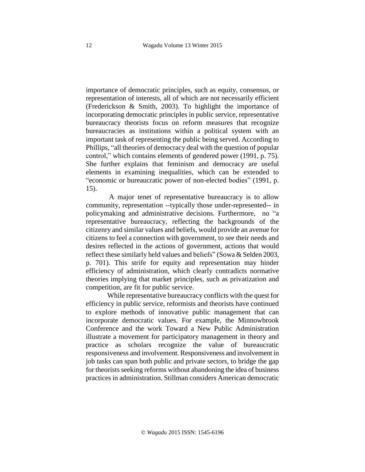importance of democratic principles, such as equity, consensus, or representation of interests, all of which are not necessarily efficient (Frederickson & Smith, 2003). To highlight the importance of incorporating democratic principles in public service, representative bureaucracy theorists focus on reform measures that recognize bureaucracies as institutions within a political system with an important task of representing the public being served. According to Phillips, "all theories of democracy deal with the question of popular control," which contains elements of gendered power (1991, p. 75). She further explains that feminism and democracy are useful elements in examining inequalities, which can be extended to "economic or bureaucratic power of non-elected bodies" (1991, p. 15).

A major tenet of representative bureaucracy is to allow community, representation --typically those under-represented-- in policymaking and administrative decisions. Furthermore, no "a representative bureaucracy, reflecting the backgrounds of the citizenry and similar values and beliefs, would provide an avenue for citizens to feel a connection with government, to see their needs and desires reflected in the actions of government, actions that would reflect these similarly held values and beliefs" (Sowa & Selden 2003, p. 701). This strife for equity and representation may hinder efficiency of administration, which clearly contradicts normative theories implying that market principles, such as privatization and competition, are fit for public service.

While representative bureaucracy conflicts with the quest for efficiency in public service, reformists and theorists have continued to explore methods of innovative public management that can incorporate democratic values. For example, the Minnowbrook Conference and the work Toward a New Public Administration illustrate a movement for participatory management in theory and practice as scholars recognize the value of bureaucratic responsiveness and involvement. Responsiveness and involvement in job tasks can span both public and private sectors, to bridge the gap for theorists seeking reforms without abandoning the idea of business practices in administration. Stillman considers American democratic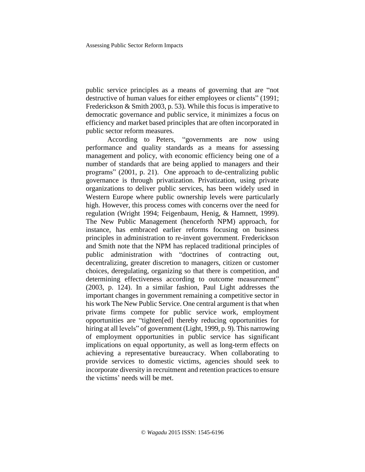public service principles as a means of governing that are "not destructive of human values for either employees or clients" (1991; Frederickson & Smith 2003, p. 53). While this focus is imperative to democratic governance and public service, it minimizes a focus on efficiency and market based principles that are often incorporated in public sector reform measures.

According to Peters, "governments are now using performance and quality standards as a means for assessing management and policy, with economic efficiency being one of a number of standards that are being applied to managers and their programs" (2001, p. 21). One approach to de-centralizing public governance is through privatization. Privatization, using private organizations to deliver public services, has been widely used in Western Europe where public ownership levels were particularly high. However, this process comes with concerns over the need for regulation (Wright 1994; Feigenbaum, Henig, & Hamnett, 1999). The New Public Management (henceforth NPM) approach, for instance, has embraced earlier reforms focusing on business principles in administration to re-invent government. Frederickson and Smith note that the NPM has replaced traditional principles of public administration with "doctrines of contracting out, decentralizing, greater discretion to managers, citizen or customer choices, deregulating, organizing so that there is competition, and determining effectiveness according to outcome measurement" (2003, p. 124). In a similar fashion, Paul Light addresses the important changes in government remaining a competitive sector in his work The New Public Service. One central argument is that when private firms compete for public service work, employment opportunities are "tighten[ed] thereby reducing opportunities for hiring at all levels" of government (Light, 1999, p. 9). This narrowing of employment opportunities in public service has significant implications on equal opportunity, as well as long-term effects on achieving a representative bureaucracy. When collaborating to provide services to domestic victims, agencies should seek to incorporate diversity in recruitment and retention practices to ensure the victims' needs will be met.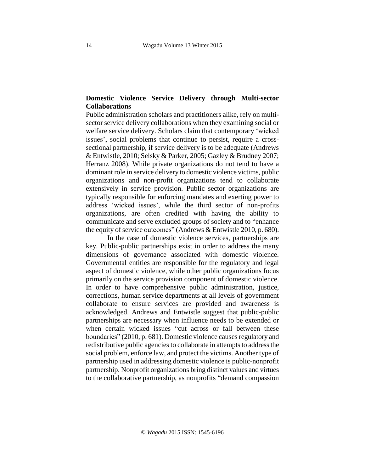## **Domestic Violence Service Delivery through Multi-sector Collaborations**

Public administration scholars and practitioners alike, rely on multisector service delivery collaborations when they examining social or welfare service delivery. Scholars claim that contemporary 'wicked issues', social problems that continue to persist, require a crosssectional partnership, if service delivery is to be adequate (Andrews & Entwistle, 2010; Selsky & Parker, 2005; Gazley & Brudney 2007; Herranz 2008). While private organizations do not tend to have a dominant role in service delivery to domestic violence victims, public organizations and non-profit organizations tend to collaborate extensively in service provision. Public sector organizations are typically responsible for enforcing mandates and exerting power to address 'wicked issues', while the third sector of non-profits organizations, are often credited with having the ability to communicate and serve excluded groups of society and to "enhance the equity of service outcomes" (Andrews  $&$  Entwistle 2010, p. 680).

In the case of domestic violence services, partnerships are key. Public-public partnerships exist in order to address the many dimensions of governance associated with domestic violence. Governmental entities are responsible for the regulatory and legal aspect of domestic violence, while other public organizations focus primarily on the service provision component of domestic violence. In order to have comprehensive public administration, justice, corrections, human service departments at all levels of government collaborate to ensure services are provided and awareness is acknowledged. Andrews and Entwistle suggest that public-public partnerships are necessary when influence needs to be extended or when certain wicked issues "cut across or fall between these boundaries" (2010, p. 681). Domestic violence causes regulatory and redistributive public agencies to collaborate in attempts to address the social problem, enforce law, and protect the victims. Another type of partnership used in addressing domestic violence is public-nonprofit partnership. Nonprofit organizations bring distinct values and virtues to the collaborative partnership, as nonprofits "demand compassion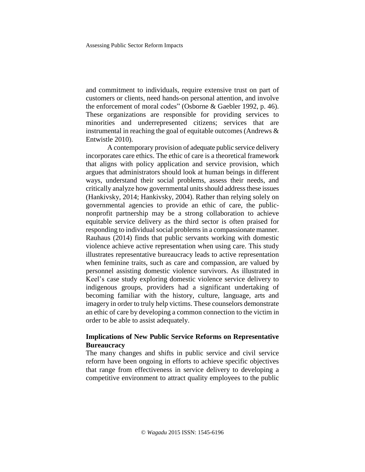and commitment to individuals, require extensive trust on part of customers or clients, need hands-on personal attention, and involve the enforcement of moral codes" (Osborne & Gaebler 1992, p. 46). These organizations are responsible for providing services to minorities and underrepresented citizens; services that are instrumental in reaching the goal of equitable outcomes (Andrews & Entwistle 2010).

A contemporary provision of adequate public service delivery incorporates care ethics. The ethic of care is a theoretical framework that aligns with policy application and service provision, which argues that administrators should look at human beings in different ways, understand their social problems, assess their needs, and critically analyze how governmental units should address these issues (Hankivsky, 2014; Hankivsky, 2004). Rather than relying solely on governmental agencies to provide an ethic of care, the publicnonprofit partnership may be a strong collaboration to achieve equitable service delivery as the third sector is often praised for responding to individual social problems in a compassionate manner. Rauhaus (2014) finds that public servants working with domestic violence achieve active representation when using care. This study illustrates representative bureaucracy leads to active representation when feminine traits, such as care and compassion, are valued by personnel assisting domestic violence survivors. As illustrated in Keel's case study exploring domestic violence service delivery to indigenous groups, providers had a significant undertaking of becoming familiar with the history, culture, language, arts and imagery in order to truly help victims. These counselors demonstrate an ethic of care by developing a common connection to the victim in order to be able to assist adequately.

## **Implications of New Public Service Reforms on Representative Bureaucracy**

The many changes and shifts in public service and civil service reform have been ongoing in efforts to achieve specific objectives that range from effectiveness in service delivery to developing a competitive environment to attract quality employees to the public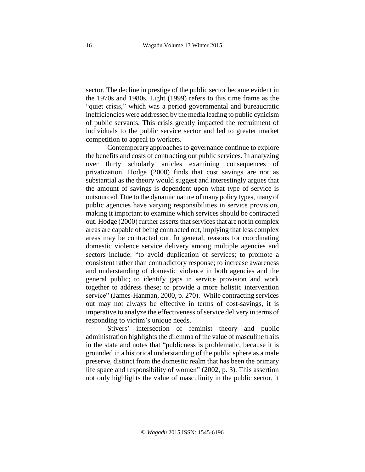sector. The decline in prestige of the public sector became evident in the 1970s and 1980s. Light (1999) refers to this time frame as the "quiet crisis," which was a period governmental and bureaucratic inefficiencies were addressed by the media leading to public cynicism of public servants. This crisis greatly impacted the recruitment of individuals to the public service sector and led to greater market competition to appeal to workers.

Contemporary approaches to governance continue to explore the benefits and costs of contracting out public services. In analyzing over thirty scholarly articles examining consequences of privatization, Hodge (2000) finds that cost savings are not as substantial as the theory would suggest and interestingly argues that the amount of savings is dependent upon what type of service is outsourced. Due to the dynamic nature of many policy types, many of public agencies have varying responsibilities in service provision, making it important to examine which services should be contracted out. Hodge (2000) further asserts that services that are not in complex areas are capable of being contracted out, implying that less complex areas may be contracted out. In general, reasons for coordinating domestic violence service delivery among multiple agencies and sectors include: "to avoid duplication of services; to promote a consistent rather than contradictory response; to increase awareness and understanding of domestic violence in both agencies and the general public; to identify gaps in service provision and work together to address these; to provide a more holistic intervention service" (James-Hanman, 2000, p. 270). While contracting services out may not always be effective in terms of cost-savings, it is imperative to analyze the effectiveness of service delivery in terms of responding to victim's unique needs.

Stivers' intersection of feminist theory and public administration highlights the dilemma of the value of masculine traits in the state and notes that "publicness is problematic, because it is grounded in a historical understanding of the public sphere as a male preserve, distinct from the domestic realm that has been the primary life space and responsibility of women" (2002, p. 3). This assertion not only highlights the value of masculinity in the public sector, it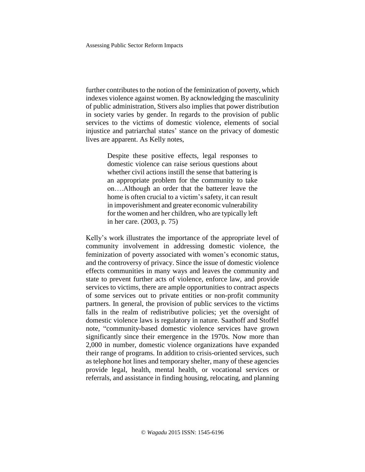Assessing Public Sector Reform Impacts

further contributes to the notion of the feminization of poverty, which indexes violence against women. By acknowledging the masculinity of public administration, Stivers also implies that power distribution in society varies by gender. In regards to the provision of public services to the victims of domestic violence, elements of social injustice and patriarchal states' stance on the privacy of domestic lives are apparent. As Kelly notes,

> Despite these positive effects, legal responses to domestic violence can raise serious questions about whether civil actions instill the sense that battering is an appropriate problem for the community to take on….Although an order that the batterer leave the home is often crucial to a victim's safety, it can result in impoverishment and greater economic vulnerability for the women and her children, who are typically left in her care. (2003, p. 75)

Kelly's work illustrates the importance of the appropriate level of community involvement in addressing domestic violence, the feminization of poverty associated with women's economic status, and the controversy of privacy. Since the issue of domestic violence effects communities in many ways and leaves the community and state to prevent further acts of violence, enforce law, and provide services to victims, there are ample opportunities to contract aspects of some services out to private entities or non-profit community partners. In general, the provision of public services to the victims falls in the realm of redistributive policies; yet the oversight of domestic violence laws is regulatory in nature. Saathoff and Stoffel note, "community-based domestic violence services have grown significantly since their emergence in the 1970s. Now more than 2,000 in number, domestic violence organizations have expanded their range of programs. In addition to crisis-oriented services, such as telephone hot lines and temporary shelter, many of these agencies provide legal, health, mental health, or vocational services or referrals, and assistance in finding housing, relocating, and planning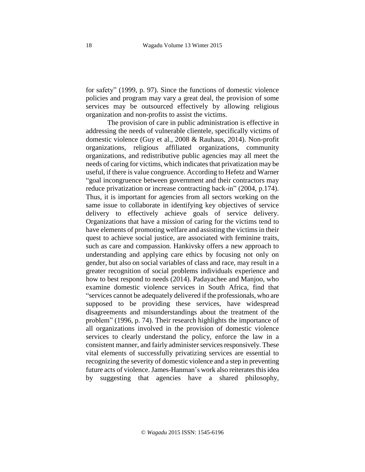for safety" (1999, p. 97). Since the functions of domestic violence policies and program may vary a great deal, the provision of some services may be outsourced effectively by allowing religious organization and non-profits to assist the victims.

The provision of care in public administration is effective in addressing the needs of vulnerable clientele, specifically victims of domestic violence (Guy et al., 2008 & Rauhaus, 2014). Non-profit organizations, religious affiliated organizations, community organizations, and redistributive public agencies may all meet the needs of caring for victims, which indicates that privatization may be useful, if there is value congruence. According to Hefetz and Warner "goal incongruence between government and their contractors may reduce privatization or increase contracting back-in" (2004, p.174). Thus, it is important for agencies from all sectors working on the same issue to collaborate in identifying key objectives of service delivery to effectively achieve goals of service delivery. Organizations that have a mission of caring for the victims tend to have elements of promoting welfare and assisting the victims in their quest to achieve social justice, are associated with feminine traits, such as care and compassion. Hankivsky offers a new approach to understanding and applying care ethics by focusing not only on gender, but also on social variables of class and race, may result in a greater recognition of social problems individuals experience and how to best respond to needs (2014). Padayachee and Manjoo, who examine domestic violence services in South Africa, find that "services cannot be adequately delivered if the professionals, who are supposed to be providing these services, have widespread disagreements and misunderstandings about the treatment of the problem" (1996, p. 74). Their research highlights the importance of all organizations involved in the provision of domestic violence services to clearly understand the policy, enforce the law in a consistent manner, and fairly administer services responsively. These vital elements of successfully privatizing services are essential to recognizing the severity of domestic violence and a step in preventing future acts of violence. James-Hanman's work also reiterates this idea by suggesting that agencies have a shared philosophy,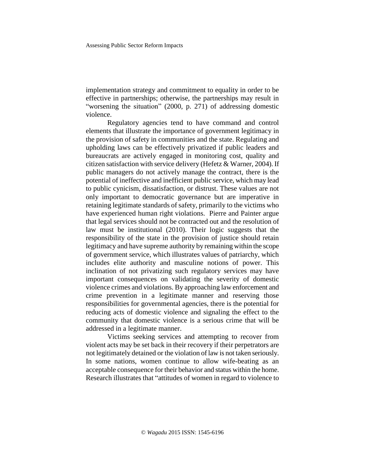implementation strategy and commitment to equality in order to be effective in partnerships; otherwise, the partnerships may result in "worsening the situation" (2000, p. 271) of addressing domestic violence.

Regulatory agencies tend to have command and control elements that illustrate the importance of government legitimacy in the provision of safety in communities and the state. Regulating and upholding laws can be effectively privatized if public leaders and bureaucrats are actively engaged in monitoring cost, quality and citizen satisfaction with service delivery (Hefetz & Warner, 2004). If public managers do not actively manage the contract, there is the potential of ineffective and inefficient public service, which may lead to public cynicism, dissatisfaction, or distrust. These values are not only important to democratic governance but are imperative in retaining legitimate standards of safety, primarily to the victims who have experienced human right violations. Pierre and Painter argue that legal services should not be contracted out and the resolution of law must be institutional (2010). Their logic suggests that the responsibility of the state in the provision of justice should retain legitimacy and have supreme authority by remaining within the scope of government service, which illustrates values of patriarchy, which includes elite authority and masculine notions of power. This inclination of not privatizing such regulatory services may have important consequences on validating the severity of domestic violence crimes and violations. By approaching law enforcement and crime prevention in a legitimate manner and reserving those responsibilities for governmental agencies, there is the potential for reducing acts of domestic violence and signaling the effect to the community that domestic violence is a serious crime that will be addressed in a legitimate manner.

Victims seeking services and attempting to recover from violent acts may be set back in their recovery if their perpetrators are not legitimately detained or the violation of law is not taken seriously. In some nations, women continue to allow wife-beating as an acceptable consequence for their behavior and status within the home. Research illustrates that "attitudes of women in regard to violence to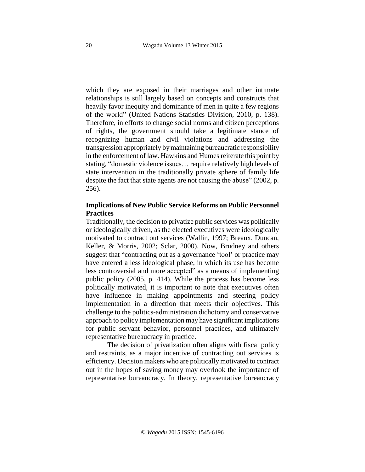which they are exposed in their marriages and other intimate relationships is still largely based on concepts and constructs that heavily favor inequity and dominance of men in quite a few regions of the world" (United Nations Statistics Division, 2010, p. 138). Therefore, in efforts to change social norms and citizen perceptions of rights, the government should take a legitimate stance of recognizing human and civil violations and addressing the transgression appropriately bymaintaining bureaucratic responsibility in the enforcement of law. Hawkins and Humes reiterate this point by stating, "domestic violence issues… require relatively high levels of state intervention in the traditionally private sphere of family life despite the fact that state agents are not causing the abuse" (2002, p. 256).

## **Implications of New Public Service Reforms on Public Personnel Practices**

Traditionally, the decision to privatize public services was politically or ideologically driven, as the elected executives were ideologically motivated to contract out services (Wallin, 1997; Breaux, Duncan, Keller, & Morris, 2002; Sclar, 2000). Now, Brudney and others suggest that "contracting out as a governance 'tool' or practice may have entered a less ideological phase, in which its use has become less controversial and more accepted" as a means of implementing public policy (2005, p. 414). While the process has become less politically motivated, it is important to note that executives often have influence in making appointments and steering policy implementation in a direction that meets their objectives. This challenge to the politics-administration dichotomy and conservative approach to policy implementation may have significant implications for public servant behavior, personnel practices, and ultimately representative bureaucracy in practice.

The decision of privatization often aligns with fiscal policy and restraints, as a major incentive of contracting out services is efficiency. Decision makers who are politically motivated to contract out in the hopes of saving money may overlook the importance of representative bureaucracy. In theory, representative bureaucracy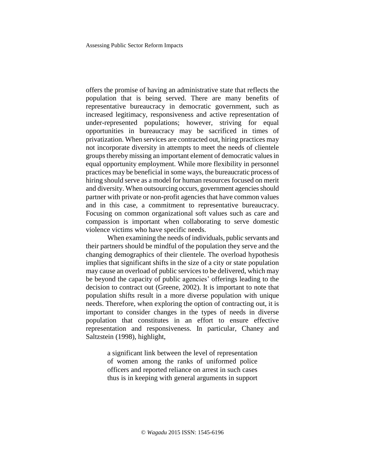Assessing Public Sector Reform Impacts

offers the promise of having an administrative state that reflects the population that is being served. There are many benefits of representative bureaucracy in democratic government, such as increased legitimacy, responsiveness and active representation of under-represented populations; however, striving for equal opportunities in bureaucracy may be sacrificed in times of privatization. When services are contracted out, hiring practices may not incorporate diversity in attempts to meet the needs of clientele groups thereby missing an important element of democratic values in equal opportunity employment. While more flexibility in personnel practices may be beneficial in some ways, the bureaucratic process of hiring should serve as a model for human resources focused on merit and diversity. When outsourcing occurs, government agencies should partner with private or non-profit agencies that have common values and in this case, a commitment to representative bureaucracy. Focusing on common organizational soft values such as care and compassion is important when collaborating to serve domestic violence victims who have specific needs.

When examining the needs of individuals, public servants and their partners should be mindful of the population they serve and the changing demographics of their clientele. The overload hypothesis implies that significant shifts in the size of a city or state population may cause an overload of public services to be delivered, which may be beyond the capacity of public agencies' offerings leading to the decision to contract out (Greene, 2002). It is important to note that population shifts result in a more diverse population with unique needs. Therefore, when exploring the option of contracting out, it is important to consider changes in the types of needs in diverse population that constitutes in an effort to ensure effective representation and responsiveness. In particular, Chaney and Saltzstein (1998), highlight,

> a significant link between the level of representation of women among the ranks of uniformed police officers and reported reliance on arrest in such cases thus is in keeping with general arguments in support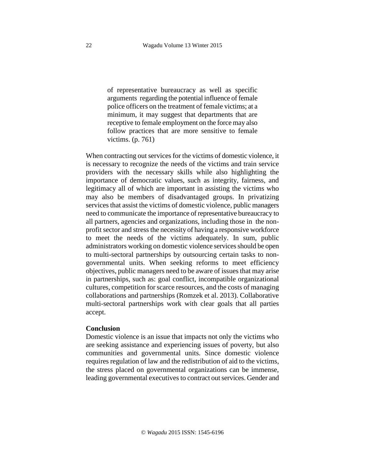of representative bureaucracy as well as specific arguments regarding the potential influence of female police officers on the treatment of female victims; at a minimum, it may suggest that departments that are receptive to female employment on the force may also follow practices that are more sensitive to female victims. (p. 761)

When contracting out services for the victims of domestic violence, it is necessary to recognize the needs of the victims and train service providers with the necessary skills while also highlighting the importance of democratic values, such as integrity, fairness, and legitimacy all of which are important in assisting the victims who may also be members of disadvantaged groups. In privatizing services that assist the victims of domestic violence, public managers need to communicate the importance of representative bureaucracy to all partners, agencies and organizations, including those in the nonprofit sector and stress the necessity of having a responsive workforce to meet the needs of the victims adequately. In sum, public administrators working on domestic violence services should be open to multi-sectoral partnerships by outsourcing certain tasks to nongovernmental units. When seeking reforms to meet efficiency objectives, public managers need to be aware of issuesthat may arise in partnerships, such as: goal conflict, incompatible organizational cultures, competition for scarce resources, and the costs of managing collaborations and partnerships (Romzek et al. 2013). Collaborative multi-sectoral partnerships work with clear goals that all parties accept.

#### **Conclusion**

Domestic violence is an issue that impacts not only the victims who are seeking assistance and experiencing issues of poverty, but also communities and governmental units. Since domestic violence requires regulation of law and the redistribution of aid to the victims, the stress placed on governmental organizations can be immense, leading governmental executives to contract out services. Gender and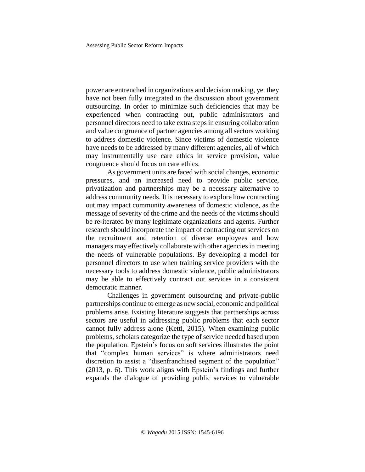power are entrenched in organizations and decision making, yet they have not been fully integrated in the discussion about government outsourcing. In order to minimize such deficiencies that may be experienced when contracting out, public administrators and personnel directors need to take extra steps in ensuring collaboration and value congruence of partner agencies among all sectors working to address domestic violence. Since victims of domestic violence have needs to be addressed by many different agencies, all of which may instrumentally use care ethics in service provision, value congruence should focus on care ethics.

As government units are faced with social changes, economic pressures, and an increased need to provide public service, privatization and partnerships may be a necessary alternative to address community needs. It is necessary to explore how contracting out may impact community awareness of domestic violence, as the message of severity of the crime and the needs of the victims should be re-iterated by many legitimate organizations and agents. Further research should incorporate the impact of contracting out services on the recruitment and retention of diverse employees and how managers may effectively collaborate with other agencies in meeting the needs of vulnerable populations. By developing a model for personnel directors to use when training service providers with the necessary tools to address domestic violence, public administrators may be able to effectively contract out services in a consistent democratic manner.

Challenges in government outsourcing and private-public partnerships continue to emerge as new social, economic and political problems arise. Existing literature suggests that partnerships across sectors are useful in addressing public problems that each sector cannot fully address alone (Kettl, 2015). When examining public problems, scholars categorize the type of service needed based upon the population. Epstein's focus on soft services illustrates the point that "complex human services" is where administrators need discretion to assist a "disenfranchised segment of the population" (2013, p. 6). This work aligns with Epstein's findings and further expands the dialogue of providing public services to vulnerable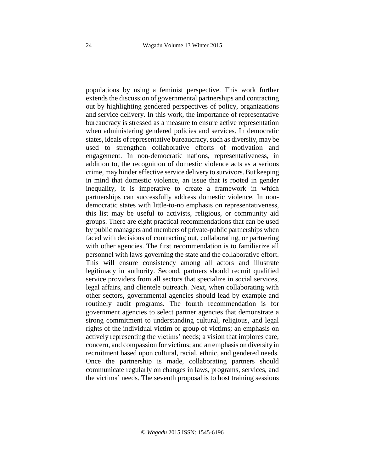populations by using a feminist perspective. This work further extends the discussion of governmental partnerships and contracting out by highlighting gendered perspectives of policy, organizations and service delivery. In this work, the importance of representative bureaucracy is stressed as a measure to ensure active representation when administering gendered policies and services. In democratic states, ideals of representative bureaucracy, such as diversity, may be used to strengthen collaborative efforts of motivation and engagement. In non-democratic nations, representativeness, in addition to, the recognition of domestic violence acts as a serious crime, may hinder effective service delivery to survivors. But keeping in mind that domestic violence, an issue that is rooted in gender inequality, it is imperative to create a framework in which partnerships can successfully address domestic violence. In nondemocratic states with little-to-no emphasis on representativeness, this list may be useful to activists, religious, or community aid groups. There are eight practical recommendations that can be used by public managers and members of private-public partnerships when faced with decisions of contracting out, collaborating, or partnering with other agencies. The first recommendation is to familiarize all personnel with laws governing the state and the collaborative effort. This will ensure consistency among all actors and illustrate legitimacy in authority. Second, partners should recruit qualified service providers from all sectors that specialize in social services, legal affairs, and clientele outreach. Next, when collaborating with other sectors, governmental agencies should lead by example and routinely audit programs. The fourth recommendation is for government agencies to select partner agencies that demonstrate a strong commitment to understanding cultural, religious, and legal rights of the individual victim or group of victims; an emphasis on actively representing the victims' needs; a vision that implores care, concern, and compassion for victims; and an emphasis on diversity in recruitment based upon cultural, racial, ethnic, and gendered needs. Once the partnership is made, collaborating partners should communicate regularly on changes in laws, programs, services, and the victims' needs. The seventh proposal is to host training sessions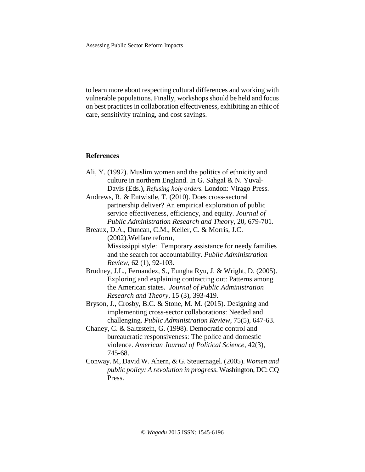to learn more about respecting cultural differences and working with vulnerable populations. Finally, workshops should be held and focus on best practices in collaboration effectiveness, exhibiting an ethic of care, sensitivity training, and cost savings.

#### **References**

- Ali, Y. (1992). Muslim women and the politics of ethnicity and culture in northern England. In G. Sahgal & N. Yuval-Davis (Eds.), *Refusing holy orders.* London: Virago Press.
- Andrews, R. & Entwistle, T. (2010). Does cross-sectoral partnership deliver? An empirical exploration of public service effectiveness, efficiency, and equity. *Journal of Public Administration Research and Theory*, 20, 679-701.
- Breaux, D.A., Duncan, C.M., Keller, C. & Morris, J.C. (2002).Welfare reform, Mississippi style: Temporary assistance for needy families and the search for accountability. *Public Administration Review*, 62 (1), 92-103.
- Brudney, J.L., Fernandez, S., Eungha Ryu, J. & Wright, D. (2005). Exploring and explaining contracting out: Patterns among the American states. *Journal of Public Administration Research and Theory*, 15 (3), 393-419.
- Bryson, J., Crosby, B.C. & Stone, M. M. (2015). Designing and implementing cross-sector collaborations: Needed and challenging. *Public Administration Review*, 75(5), 647-63.
- Chaney, C. & Saltzstein, G. (1998). Democratic control and bureaucratic responsiveness: The police and domestic violence. *American Journal of Political Science*, 42(3), 745-68.
- Conway. M, David W. Ahern, & G. Steuernagel. (2005). *Women and public policy: A revolution in progress*. Washington, DC: CQ Press.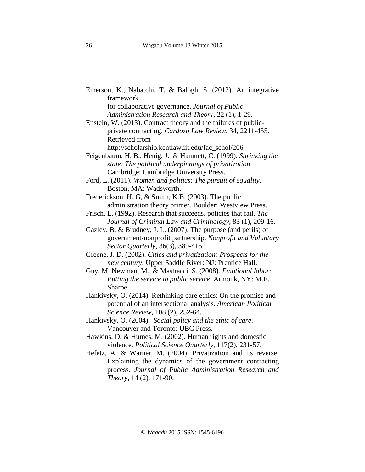- Emerson, K., Nabatchi, T. & Balogh, S. (2012). An integrative framework for collaborative governance. *Journal of Public*
	- *Administration Research and Theory*, 22 (1), 1-29.
- Epstein, W. (2013). Contract theory and the failures of publicprivate contracting. *Cardozo Law Review*, 34, 2211-455. Retrieved from http://scholarship.kentlaw.iit.edu/fac\_schol/206
- Feigenbaum, H. B., Henig, J. & Hamnett, C. (1999). *Shrinking the state: The political underpinnings of privatization*. Cambridge: Cambridge University Press.
- Ford, L. (2011). *Women and politics: The pursuit of equality*. Boston, MA: Wadsworth.
- Frederickson, H. G, & Smith, K.B. (2003). The public administration theory primer. Boulder: Westview Press.
- Frisch, L. (1992). Research that succeeds, policies that fail. *The Journal of Criminal Law and Criminology*, 83 (1), 209-16.
- Gazley, B. & Brudney, J. L. (2007). The purpose (and perils) of government-nonprofit partnership. *Nonprofit and Voluntary Sector Quarterly*, 36(3), 389-415.
- Greene, J. D. (2002). *Cities and privatization: Prospects for the new century*. Upper Saddle River: NJ: Prentice Hall.
- Guy, M, Newman, M., & Mastracci, S. (2008). *Emotional labor: Putting the service in public service*. Armonk, NY: M.E. Sharpe.
- Hankivsky, O. (2014). Rethinking care ethics: On the promise and potential of an intersectional analysis. *American Political Science Review*, 108 (2), 252-64.
- Hankivsky, O. (2004). *Social policy and the ethic of care*. Vancouver and Toronto: UBC Press.
- Hawkins, D. & Humes, M. (2002). Human rights and domestic violence. *Political Science Quarterly*, 117(2), 231-57.
- Hefetz, A. & Warner, M. (2004). Privatization and its reverse: Explaining the dynamics of the government contracting process*. Journal of Public Administration Research and Theory*, 14 (2), 171-90.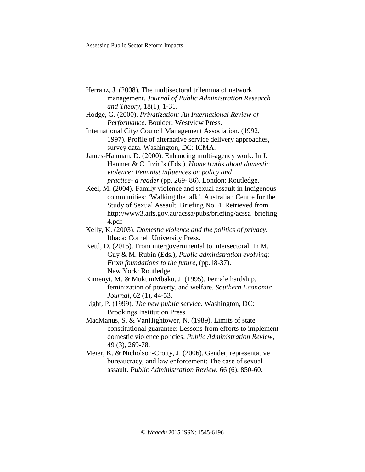- Herranz, J. (2008). The multisectoral trilemma of network management. *Journal of Public Administration Research and Theory*, 18(1), 1-31.
- Hodge, G. (2000). *Privatization: An International Review of Performance*. Boulder: Westview Press.
- International City/ Council Management Association. (1992, 1997). Profile of alternative service delivery approaches, survey data. Washington, DC: ICMA.
- James-Hanman, D. (2000). Enhancing multi-agency work. In J. Hanmer & C. Itzin's (Eds.), *Home truths about domestic violence: Feminist influences on policy and practice- a reader* (pp. 269- 86). London: Routledge.
- Keel, M. (2004). Family violence and sexual assault in Indigenous communities: 'Walking the talk'. Australian Centre for the Study of Sexual Assault. Briefing No. 4. Retrieved from http://www3.aifs.gov.au/acssa/pubs/briefing/acssa\_briefing 4.pdf
- Kelly, K. (2003). *Domestic violence and the politics of privacy*. Ithaca: Cornell University Press.
- Kettl, D. (2015). From intergovernmental to intersectoral. In M. Guy & M. Rubin (Eds.), *Public administration evolving: From foundations to the future*, (pp.18-37). New York: Routledge.
- Kimenyi, M. & MukumMbaku, J. (1995). Female hardship, feminization of poverty, and welfare. *Southern Economic Journal*, 62 (1), 44-53.
- Light, P. (1999). *The new public service*. Washington, DC: Brookings Institution Press.
- MacManus, S. & VanHightower, N. (1989). Limits of state constitutional guarantee: Lessons from efforts to implement domestic violence policies. *Public Administration Review*, 49 (3), 269-78.
- Meier, K. & Nicholson-Crotty, J. (2006). Gender, representative bureaucracy, and law enforcement: The case of sexual assault. *Public Administration Review*, 66 (6), 850-60.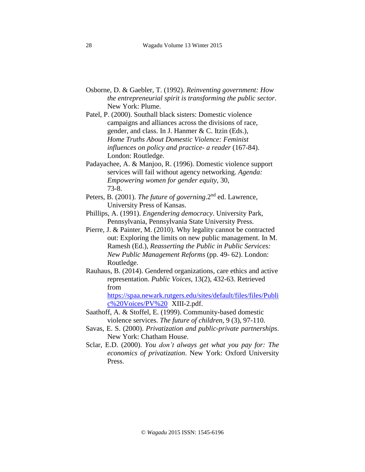- Osborne, D. & Gaebler, T. (1992). *Reinventing government: How the entrepreneurial spirit is transforming the public sector*. New York: Plume.
- Patel, P. (2000). Southall black sisters: Domestic violence campaigns and alliances across the divisions of race, gender, and class. In J. Hanmer & C. Itzin (Eds.), *Home Truths About Domestic Violence: Feminist influences on policy and practice- a reader* (167-84). London: Routledge.
- Padayachee, A. & Manjoo, R. (1996). Domestic violence support services will fail without agency networking. *Agenda: Empowering women for gender equity*, 30, 73-8.
- Peters, B. (2001). *The future of governing*.2nd ed. Lawrence, University Press of Kansas.
- Phillips, A. (1991). *Engendering democracy*. University Park, Pennsylvania, Pennsylvania State University Press.
- Pierre, J. & Painter, M. (2010). Why legality cannot be contracted out: Exploring the limits on new public management. In M. Ramesh (Ed.), *Reasserting the Public in Public Services: New Public Management Reforms* (pp. 49- 62). London: Routledge.
- Rauhaus, B. (2014). Gendered organizations, care ethics and active representation. *Public Voices*, 13(2), 432-63. Retrieved from

[https://spaa.newark.rutgers.edu/sites/default/files/files/Publi](https://spaa.newark.rutgers.edu/sites/default/files/files/Public%2520Voices/PV%2520) [c%20Voices/PV%20](https://spaa.newark.rutgers.edu/sites/default/files/files/Public%2520Voices/PV%2520) XIII-2.pdf.

- Saathoff, A. & Stoffel, E. (1999). Community-based domestic violence services. *The future of children*, 9 (3), 97-110.
- Savas, E. S. (2000). *Privatization and public-private partnerships*. New York: Chatham House.
- Sclar, E.D. (2000). *You don't always get what you pay for: The economics of privatization*. New York: Oxford University Press.